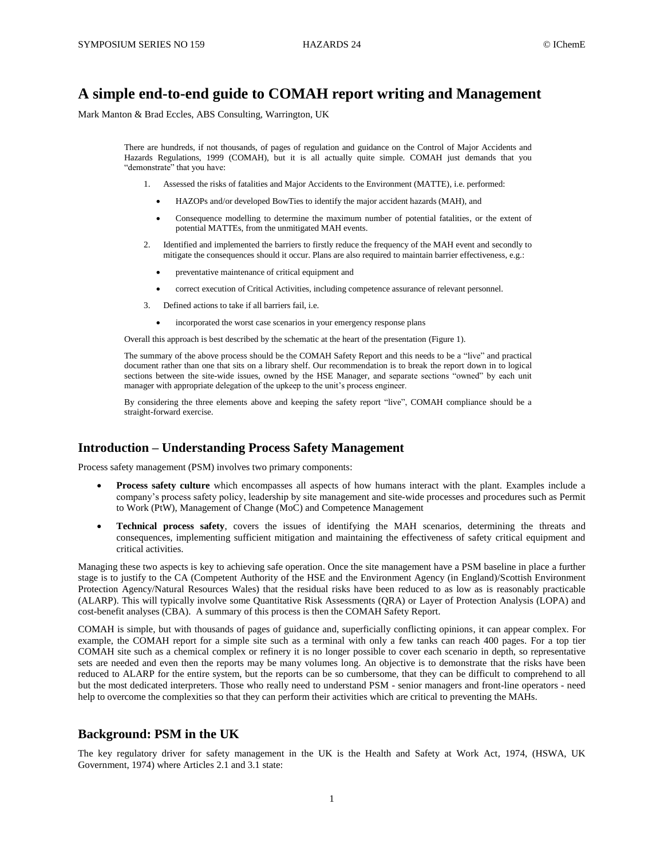# **A simple end-to-end guide to COMAH report writing and Management**

Mark Manton & Brad Eccles, ABS Consulting, Warrington, UK

There are hundreds, if not thousands, of pages of regulation and guidance on the Control of Major Accidents and Hazards Regulations, 1999 (COMAH), but it is all actually quite simple. COMAH just demands that you "demonstrate" that you have:

- 1. Assessed the risks of fatalities and Major Accidents to the Environment (MATTE), i.e. performed:
	- HAZOPs and/or developed BowTies to identify the major accident hazards (MAH), and
	- Consequence modelling to determine the maximum number of potential fatalities, or the extent of potential MATTEs, from the unmitigated MAH events.
- 2. Identified and implemented the barriers to firstly reduce the frequency of the MAH event and secondly to mitigate the consequences should it occur. Plans are also required to maintain barrier effectiveness, e.g.:
	- preventative maintenance of critical equipment and
	- correct execution of Critical Activities, including competence assurance of relevant personnel.
- 3. Defined actions to take if all barriers fail, i.e.
	- incorporated the worst case scenarios in your emergency response plans

Overall this approach is best described by the schematic at the heart of the presentation (Figure 1).

The summary of the above process should be the COMAH Safety Report and this needs to be a "live" and practical document rather than one that sits on a library shelf. Our recommendation is to break the report down in to logical sections between the site-wide issues, owned by the HSE Manager, and separate sections "owned" by each unit manager with appropriate delegation of the upkeep to the unit's process engineer.

By considering the three elements above and keeping the safety report "live", COMAH compliance should be a straight-forward exercise.

# **Introduction – Understanding Process Safety Management**

Process safety management (PSM) involves two primary components:

- **Process safety culture** which encompasses all aspects of how humans interact with the plant. Examples include a company's process safety policy, leadership by site management and site-wide processes and procedures such as Permit to Work (PtW), Management of Change (MoC) and Competence Management
- **Technical process safety**, covers the issues of identifying the MAH scenarios, determining the threats and consequences, implementing sufficient mitigation and maintaining the effectiveness of safety critical equipment and critical activities.

Managing these two aspects is key to achieving safe operation. Once the site management have a PSM baseline in place a further stage is to justify to the CA (Competent Authority of the HSE and the Environment Agency (in England)/Scottish Environment Protection Agency/Natural Resources Wales) that the residual risks have been reduced to as low as is reasonably practicable (ALARP). This will typically involve some Quantitative Risk Assessments (QRA) or Layer of Protection Analysis (LOPA) and cost-benefit analyses (CBA). A summary of this process is then the COMAH Safety Report.

COMAH is simple, but with thousands of pages of guidance and, superficially conflicting opinions, it can appear complex. For example, the COMAH report for a simple site such as a terminal with only a few tanks can reach 400 pages. For a top tier COMAH site such as a chemical complex or refinery it is no longer possible to cover each scenario in depth, so representative sets are needed and even then the reports may be many volumes long. An objective is to demonstrate that the risks have been reduced to ALARP for the entire system, but the reports can be so cumbersome, that they can be difficult to comprehend to all but the most dedicated interpreters. Those who really need to understand PSM - senior managers and front-line operators - need help to overcome the complexities so that they can perform their activities which are critical to preventing the MAHs.

# **Background: PSM in the UK**

The key regulatory driver for safety management in the UK is the Health and Safety at Work Act, 1974, (HSWA, UK Government, 1974) where Articles 2.1 and 3.1 state: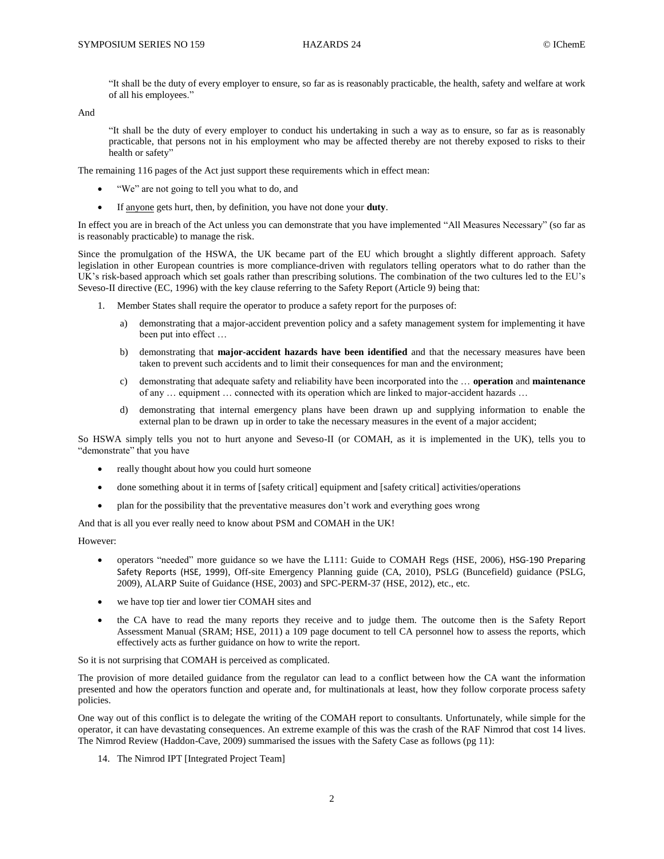"It shall be the duty of every employer to ensure, so far as is reasonably practicable, the health, safety and welfare at work of all his employees."

And

"It shall be the duty of every employer to conduct his undertaking in such a way as to ensure, so far as is reasonably practicable, that persons not in his employment who may be affected thereby are not thereby exposed to risks to their health or safety"

The remaining 116 pages of the Act just support these requirements which in effect mean:

- "We" are not going to tell you what to do, and
- If anyone gets hurt, then, by definition, you have not done your **duty**.

In effect you are in breach of the Act unless you can demonstrate that you have implemented "All Measures Necessary" (so far as is reasonably practicable) to manage the risk.

Since the promulgation of the HSWA, the UK became part of the EU which brought a slightly different approach. Safety legislation in other European countries is more compliance-driven with regulators telling operators what to do rather than the UK's risk-based approach which set goals rather than prescribing solutions. The combination of the two cultures led to the EU's Seveso-II directive (EC, 1996) with the key clause referring to the Safety Report (Article 9) being that:

- 1. Member States shall require the operator to produce a safety report for the purposes of:
	- a) demonstrating that a major-accident prevention policy and a safety management system for implementing it have been put into effect …
	- b) demonstrating that **major-accident hazards have been identified** and that the necessary measures have been taken to prevent such accidents and to limit their consequences for man and the environment;
	- c) demonstrating that adequate safety and reliability have been incorporated into the … **operation** and **maintenance** of any … equipment … connected with its operation which are linked to major-accident hazards …
	- d) demonstrating that internal emergency plans have been drawn up and supplying information to enable the external plan to be drawn up in order to take the necessary measures in the event of a major accident;

So HSWA simply tells you not to hurt anyone and Seveso-II (or COMAH, as it is implemented in the UK), tells you to "demonstrate" that you have

- really thought about how you could hurt someone
- done something about it in terms of [safety critical] equipment and [safety critical] activities/operations
- plan for the possibility that the preventative measures don't work and everything goes wrong

And that is all you ever really need to know about PSM and COMAH in the UK!

However:

- operators "needed" more guidance so we have the L111: Guide to COMAH Regs (HSE, 2006), HSG-190 Preparing Safety Reports (HSE, 1999), Off-site Emergency Planning guide (CA, 2010), PSLG (Buncefield) guidance (PSLG, 2009), ALARP Suite of Guidance (HSE, 2003) and SPC-PERM-37 (HSE, 2012), etc., etc.
- we have top tier and lower tier COMAH sites and
- the CA have to read the many reports they receive and to judge them. The outcome then is the Safety Report Assessment Manual (SRAM; HSE, 2011) a 109 page document to tell CA personnel how to assess the reports, which effectively acts as further guidance on how to write the report.

So it is not surprising that COMAH is perceived as complicated.

The provision of more detailed guidance from the regulator can lead to a conflict between how the CA want the information presented and how the operators function and operate and, for multinationals at least, how they follow corporate process safety policies.

One way out of this conflict is to delegate the writing of the COMAH report to consultants. Unfortunately, while simple for the operator, it can have devastating consequences. An extreme example of this was the crash of the RAF Nimrod that cost 14 lives. The Nimrod Review (Haddon-Cave, 2009) summarised the issues with the Safety Case as follows (pg 11):

14. The Nimrod IPT [Integrated Project Team]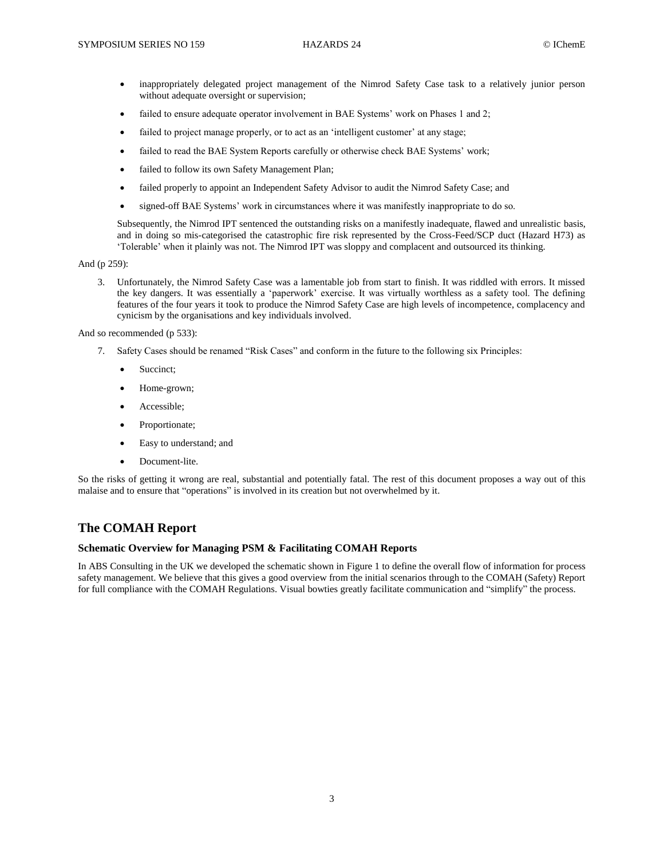- inappropriately delegated project management of the Nimrod Safety Case task to a relatively junior person without adequate oversight or supervision;
- failed to ensure adequate operator involvement in BAE Systems' work on Phases 1 and 2;
- failed to project manage properly, or to act as an 'intelligent customer' at any stage;
- failed to read the BAE System Reports carefully or otherwise check BAE Systems' work;
- failed to follow its own Safety Management Plan;
- failed properly to appoint an Independent Safety Advisor to audit the Nimrod Safety Case; and
- signed-off BAE Systems' work in circumstances where it was manifestly inappropriate to do so.

Subsequently, the Nimrod IPT sentenced the outstanding risks on a manifestly inadequate, flawed and unrealistic basis, and in doing so mis-categorised the catastrophic fire risk represented by the Cross-Feed/SCP duct (Hazard H73) as 'Tolerable' when it plainly was not. The Nimrod IPT was sloppy and complacent and outsourced its thinking.

And (p 259):

3. Unfortunately, the Nimrod Safety Case was a lamentable job from start to finish. It was riddled with errors. It missed the key dangers. It was essentially a 'paperwork' exercise. It was virtually worthless as a safety tool. The defining features of the four years it took to produce the Nimrod Safety Case are high levels of incompetence, complacency and cynicism by the organisations and key individuals involved.

And so recommended (p 533):

- 7. Safety Cases should be renamed "Risk Cases" and conform in the future to the following six Principles:
	- Succinct;
	- Home-grown;
	- Accessible;
	- Proportionate;
	- Easy to understand; and
	- Document-lite.

So the risks of getting it wrong are real, substantial and potentially fatal. The rest of this document proposes a way out of this malaise and to ensure that "operations" is involved in its creation but not overwhelmed by it.

# **The COMAH Report**

# **Schematic Overview for Managing PSM & Facilitating COMAH Reports**

In ABS Consulting in the UK we developed the schematic shown in Figure 1 to define the overall flow of information for process safety management. We believe that this gives a good overview from the initial scenarios through to the COMAH (Safety) Report for full compliance with the COMAH Regulations. Visual bowties greatly facilitate communication and "simplify" the process.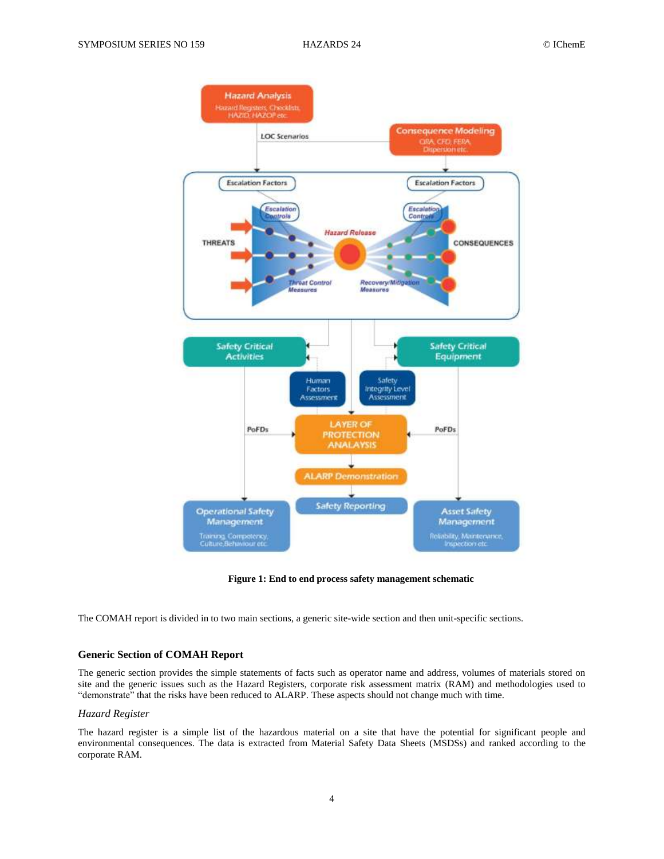

**Figure 1: End to end process safety management schematic**

The COMAH report is divided in to two main sections, a generic site-wide section and then unit-specific sections.

# **Generic Section of COMAH Report**

The generic section provides the simple statements of facts such as operator name and address, volumes of materials stored on site and the generic issues such as the Hazard Registers, corporate risk assessment matrix (RAM) and methodologies used to "demonstrate" that the risks have been reduced to ALARP. These aspects should not change much with time.

# *Hazard Register*

The hazard register is a simple list of the hazardous material on a site that have the potential for significant people and environmental consequences. The data is extracted from Material Safety Data Sheets (MSDSs) and ranked according to the corporate RAM.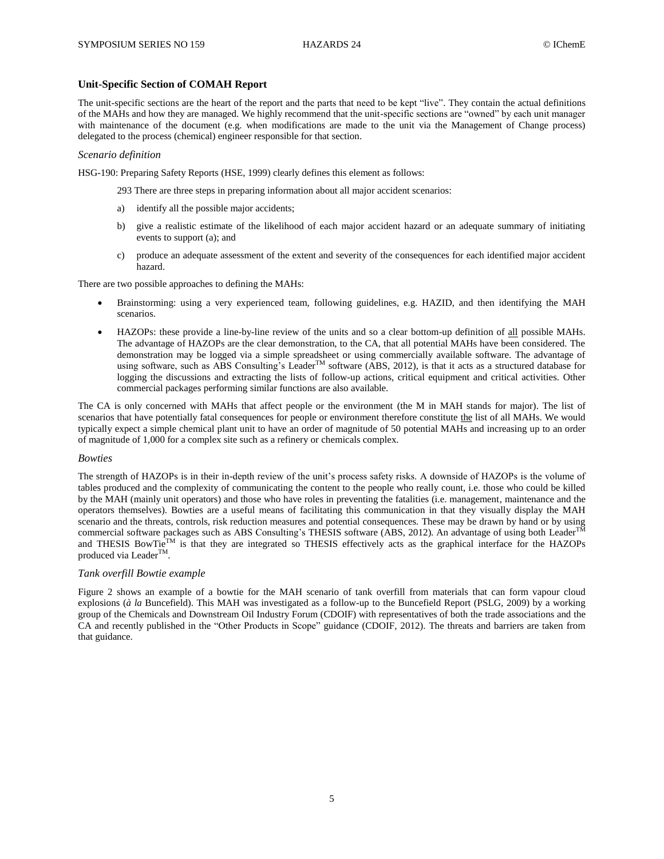# **Unit-Specific Section of COMAH Report**

The unit-specific sections are the heart of the report and the parts that need to be kept "live". They contain the actual definitions of the MAHs and how they are managed. We highly recommend that the unit-specific sections are "owned" by each unit manager with maintenance of the document (e.g. when modifications are made to the unit via the Management of Change process) delegated to the process (chemical) engineer responsible for that section.

## *Scenario definition*

HSG-190: Preparing Safety Reports (HSE, 1999) clearly defines this element as follows:

293 There are three steps in preparing information about all major accident scenarios:

- a) identify all the possible major accidents;
- b) give a realistic estimate of the likelihood of each major accident hazard or an adequate summary of initiating events to support (a); and
- c) produce an adequate assessment of the extent and severity of the consequences for each identified major accident hazard.

There are two possible approaches to defining the MAHs:

- Brainstorming: using a very experienced team, following guidelines, e.g. HAZID, and then identifying the MAH scenarios.
- HAZOPs: these provide a line-by-line review of the units and so a clear bottom-up definition of all possible MAHs. The advantage of HAZOPs are the clear demonstration, to the CA, that all potential MAHs have been considered. The demonstration may be logged via a simple spreadsheet or using commercially available software. The advantage of using software, such as ABS Consulting's Leader<sup>TM</sup> software (ABS, 2012), is that it acts as a structured database for logging the discussions and extracting the lists of follow-up actions, critical equipment and critical activities. Other commercial packages performing similar functions are also available.

The CA is only concerned with MAHs that affect people or the environment (the M in MAH stands for major). The list of scenarios that have potentially fatal consequences for people or environment therefore constitute the list of all MAHs. We would typically expect a simple chemical plant unit to have an order of magnitude of 50 potential MAHs and increasing up to an order of magnitude of 1,000 for a complex site such as a refinery or chemicals complex.

## *Bowties*

The strength of HAZOPs is in their in-depth review of the unit's process safety risks. A downside of HAZOPs is the volume of tables produced and the complexity of communicating the content to the people who really count, i.e. those who could be killed by the MAH (mainly unit operators) and those who have roles in preventing the fatalities (i.e. management, maintenance and the operators themselves). Bowties are a useful means of facilitating this communication in that they visually display the MAH scenario and the threats, controls, risk reduction measures and potential consequences. These may be drawn by hand or by using commercial software packages such as ABS Consulting's THESIS software (ABS, 2012). An advantage of using both Leader<sup>TM</sup> and THESIS BowTie<sup>TM</sup> is that they are integrated so THESIS effectively acts as the graphical interface for the HAZOPs produced via Leader<sup>TM</sup>.

## *Tank overfill Bowtie example*

Figure 2 shows an example of a bowtie for the MAH scenario of tank overfill from materials that can form vapour cloud explosions (*à la* Buncefield). This MAH was investigated as a follow-up to the Buncefield Report (PSLG, 2009) by a working group of the Chemicals and Downstream Oil Industry Forum (CDOIF) with representatives of both the trade associations and the CA and recently published in the "Other Products in Scope" guidance (CDOIF, 2012). The threats and barriers are taken from that guidance.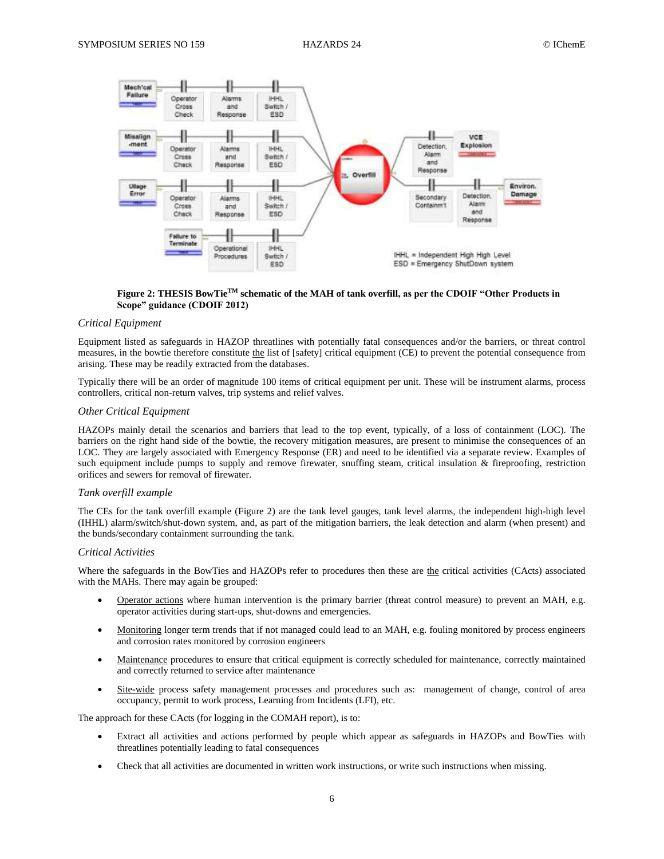

**Figure 2: THESIS BowTieTM schematic of the MAH of tank overfill, as per the CDOIF "Other Products in Scope" guidance (CDOIF 2012)**

### *Critical Equipment*

Equipment listed as safeguards in HAZOP threatlines with potentially fatal consequences and/or the barriers, or threat control measures, in the bowtie therefore constitute the list of [safety] critical equipment (CE) to prevent the potential consequence from arising. These may be readily extracted from the databases.

Typically there will be an order of magnitude 100 items of critical equipment per unit. These will be instrument alarms, process controllers, critical non-return valves, trip systems and relief valves.

#### *Other Critical Equipment*

HAZOPs mainly detail the scenarios and barriers that lead to the top event, typically, of a loss of containment (LOC). The barriers on the right hand side of the bowtie, the recovery mitigation measures, are present to minimise the consequences of an LOC. They are largely associated with Emergency Response (ER) and need to be identified via a separate review. Examples of such equipment include pumps to supply and remove firewater, snuffing steam, critical insulation & fireproofing, restriction orifices and sewers for removal of firewater.

#### *Tank overfill example*

The CEs for the tank overfill example (Figure 2) are the tank level gauges, tank level alarms, the independent high-high level (IHHL) alarm/switch/shut-down system, and, as part of the mitigation barriers, the leak detection and alarm (when present) and the bunds/secondary containment surrounding the tank.

#### *Critical Activities*

Where the safeguards in the BowTies and HAZOPs refer to procedures then these are the critical activities (CActs) associated with the MAHs. There may again be grouped:

- Operator actions where human intervention is the primary barrier (threat control measure) to prevent an MAH, e.g. operator activities during start-ups, shut-downs and emergencies.
- Monitoring longer term trends that if not managed could lead to an MAH, e.g. fouling monitored by process engineers and corrosion rates monitored by corrosion engineers
- Maintenance procedures to ensure that critical equipment is correctly scheduled for maintenance, correctly maintained and correctly returned to service after maintenance
- Site-wide process safety management processes and procedures such as: management of change, control of area occupancy, permit to work process, Learning from Incidents (LFI), etc.

The approach for these CActs (for logging in the COMAH report), is to:

- Extract all activities and actions performed by people which appear as safeguards in HAZOPs and BowTies with threatlines potentially leading to fatal consequences
- Check that all activities are documented in written work instructions, or write such instructions when missing.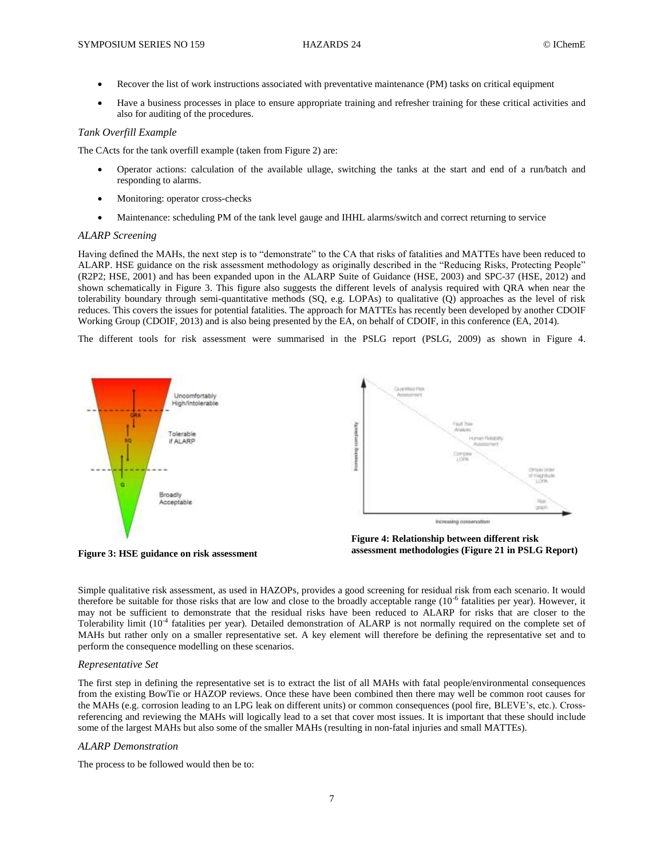- Recover the list of work instructions associated with preventative maintenance (PM) tasks on critical equipment
- Have a business processes in place to ensure appropriate training and refresher training for these critical activities and also for auditing of the procedures.

## *Tank Overfill Example*

The CActs for the tank overfill example (taken from Figure 2) are:

- Operator actions: calculation of the available ullage, switching the tanks at the start and end of a run/batch and responding to alarms.
- Monitoring: operator cross-checks
- Maintenance: scheduling PM of the tank level gauge and IHHL alarms/switch and correct returning to service

## *ALARP Screening*

Having defined the MAHs, the next step is to "demonstrate" to the CA that risks of fatalities and MATTEs have been reduced to ALARP. HSE guidance on the risk assessment methodology as originally described in the "Reducing Risks, Protecting People" (R2P2; HSE, 2001) and has been expanded upon in the ALARP Suite of Guidance (HSE, 2003) and SPC-37 (HSE, 2012) and shown schematically in Figure 3. This figure also suggests the different levels of analysis required with QRA when near the tolerability boundary through semi-quantitative methods (SQ, e.g. LOPAs) to qualitative (Q) approaches as the level of risk reduces. This covers the issues for potential fatalities. The approach for MATTEs has recently been developed by another CDOIF Working Group (CDOIF, 2013) and is also being presented by the EA, on behalf of CDOIF, in this conference (EA, 2014).

The different tools for risk assessment were summarised in the PSLG report (PSLG, 2009) as shown in Figure 4.



**Figure 3: HSE guidance on risk assessment**



Simple qualitative risk assessment, as used in HAZOPs, provides a good screening for residual risk from each scenario. It would therefore be suitable for those risks that are low and close to the broadly acceptable range  $(10^{-6}$  fatalities per year). However, it may not be sufficient to demonstrate that the residual risks have been reduced to ALARP for risks that are closer to the Tolerability limit (10<sup>-4</sup> fatalities per year). Detailed demonstration of ALARP is not normally required on the complete set of MAHs but rather only on a smaller representative set. A key element will therefore be defining the representative set and to perform the consequence modelling on these scenarios.

## *Representative Set*

The first step in defining the representative set is to extract the list of all MAHs with fatal people/environmental consequences from the existing BowTie or HAZOP reviews. Once these have been combined then there may well be common root causes for the MAHs (e.g. corrosion leading to an LPG leak on different units) or common consequences (pool fire, BLEVE's, etc.). Crossreferencing and reviewing the MAHs will logically lead to a set that cover most issues. It is important that these should include some of the largest MAHs but also some of the smaller MAHs (resulting in non-fatal injuries and small MATTEs).

## *ALARP Demonstration*

The process to be followed would then be to: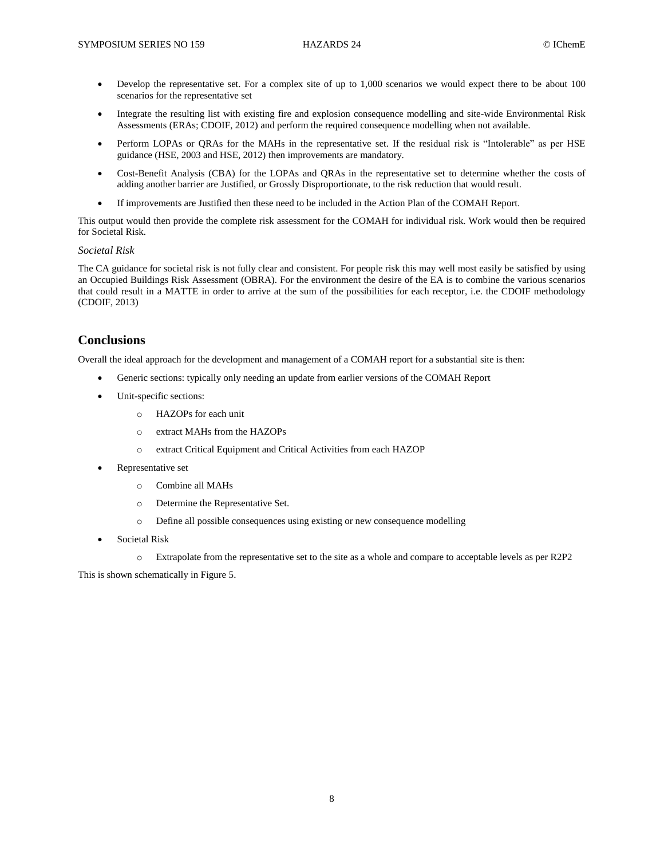- Develop the representative set. For a complex site of up to 1,000 scenarios we would expect there to be about 100 scenarios for the representative set
- Integrate the resulting list with existing fire and explosion consequence modelling and site-wide Environmental Risk Assessments (ERAs; CDOIF, 2012) and perform the required consequence modelling when not available.
- Perform LOPAs or QRAs for the MAHs in the representative set. If the residual risk is "Intolerable" as per HSE guidance (HSE, 2003 and HSE, 2012) then improvements are mandatory.
- Cost-Benefit Analysis (CBA) for the LOPAs and QRAs in the representative set to determine whether the costs of adding another barrier are Justified, or Grossly Disproportionate, to the risk reduction that would result.
- If improvements are Justified then these need to be included in the Action Plan of the COMAH Report.

This output would then provide the complete risk assessment for the COMAH for individual risk. Work would then be required for Societal Risk.

#### *Societal Risk*

The CA guidance for societal risk is not fully clear and consistent. For people risk this may well most easily be satisfied by using an Occupied Buildings Risk Assessment (OBRA). For the environment the desire of the EA is to combine the various scenarios that could result in a MATTE in order to arrive at the sum of the possibilities for each receptor, i.e. the CDOIF methodology (CDOIF, 2013)

# **Conclusions**

Overall the ideal approach for the development and management of a COMAH report for a substantial site is then:

- Generic sections: typically only needing an update from earlier versions of the COMAH Report
- Unit-specific sections:
	- o HAZOPs for each unit
	- o extract MAHs from the HAZOPs
	- o extract Critical Equipment and Critical Activities from each HAZOP
- Representative set
	- o Combine all MAHs
	- o Determine the Representative Set.
	- o Define all possible consequences using existing or new consequence modelling
- Societal Risk
	- o Extrapolate from the representative set to the site as a whole and compare to acceptable levels as per R2P2

This is shown schematically in Figure 5.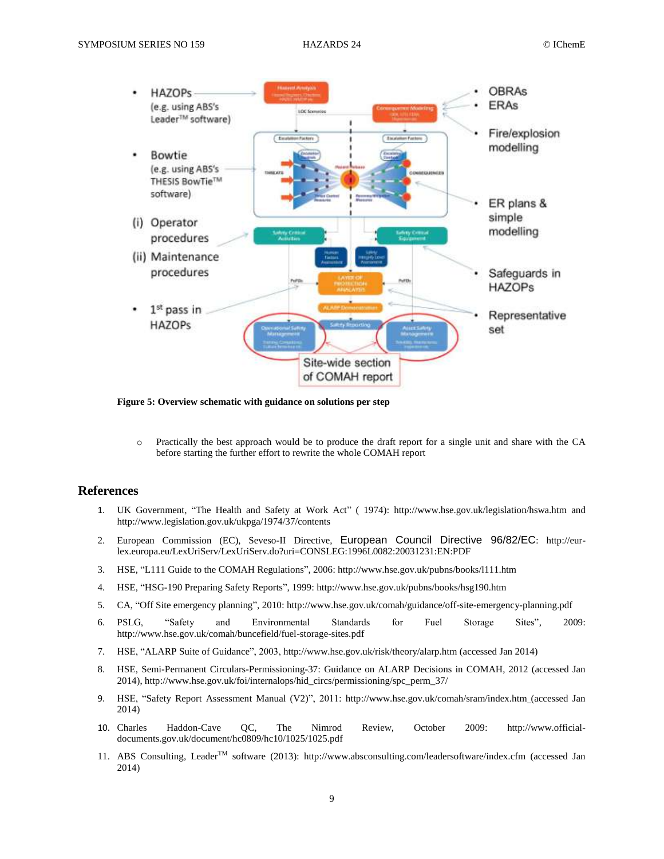

**Figure 5: Overview schematic with guidance on solutions per step**

o Practically the best approach would be to produce the draft report for a single unit and share with the CA before starting the further effort to rewrite the whole COMAH report

# **References**

- 1. UK Government, "The Health and Safety at Work Act" ( 1974): http://www.hse.gov.uk/legislation/hswa.htm and http://www.legislation.gov.uk/ukpga/1974/37/contents
- 2. European Commission (EC), Seveso-II Directive, European Council Directive 96/82/EC: http://eurlex.europa.eu/LexUriServ/LexUriServ.do?uri=CONSLEG:1996L0082:20031231:EN:PDF
- 3. HSE, "L111 Guide to the COMAH Regulations", 2006: http://www.hse.gov.uk/pubns/books/l111.htm
- 4. HSE, "HSG-190 Preparing Safety Reports", 1999: http://www.hse.gov.uk/pubns/books/hsg190.htm
- 5. CA, "Off Site emergency planning", 2010: http://www.hse.gov.uk/comah/guidance/off-site-emergency-planning.pdf
- 6. PSLG, "Safety and Environmental Standards for Fuel Storage Sites", 2009: http://www.hse.gov.uk/comah/buncefield/fuel-storage-sites.pdf
- 7. HSE, "ALARP Suite of Guidance", 2003, http://www.hse.gov.uk/risk/theory/alarp.htm (accessed Jan 2014)
- 8. HSE, Semi-Permanent Circulars-Permissioning-37: Guidance on ALARP Decisions in COMAH, 2012 (accessed Jan 2014), http://www.hse.gov.uk/foi/internalops/hid\_circs/permissioning/spc\_perm\_37/
- 9. HSE, "Safety Report Assessment Manual (V2)", 2011: http://www.hse.gov.uk/comah/sram/index.htm (accessed Jan 2014)
- 10. Charles Haddon-Cave QC, The Nimrod Review, October 2009: http://www.officialdocuments.gov.uk/document/hc0809/hc10/1025/1025.pdf
- 11. ABS Consulting, LeaderTM software (2013): http://www.absconsulting.com/leadersoftware/index.cfm (accessed Jan 2014)